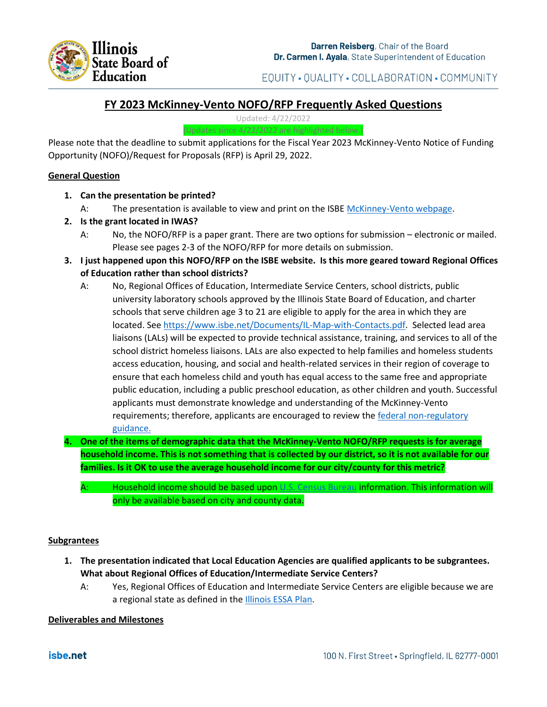

EQUITY . QUALITY . COLLABORATION . COMMUNITY

# **FY 2023 McKinney-Vento NOFO/RFP Frequently Asked Questions**

Updated: 4/22/2022 (Updates since 4/22/2022 are highlighted below.)

Please note that the deadline to submit applications for the Fiscal Year 2023 McKinney-Vento Notice of Funding Opportunity (NOFO)/Request for Proposals (RFP) is April 29, 2022.

# **General Question**

- **1. Can the presentation be printed?**
	- A: The presentation is available to view and print on the ISBE [McKinney-Vento webpage.](https://www.isbe.net/Pages/Homeless.aspx)
- **2. Is the grant located in IWAS?**
	- A: No, the NOFO/RFP is a paper grant. There are two options for submission electronic or mailed. Please see pages 2-3 of the NOFO/RFP for more details on submission.
- **3. I just happened upon this NOFO/RFP on the ISBE website. Is this more geared toward Regional Offices of Education rather than school districts?**
	- A: No, Regional Offices of Education, Intermediate Service Centers, school districts, public university laboratory schools approved by the Illinois State Board of Education, and charter schools that serve children age 3 to 21 are eligible to apply for the area in which they are located. See [https://www.isbe.net/Documents/IL-Map-with-Contacts.pdf.](https://www.isbe.net/Documents/IL-Map-with-Contacts.pdf) Selected lead area liaisons (LALs) will be expected to provide technical assistance, training, and services to all of the school district homeless liaisons. LALs are also expected to help families and homeless students access education, housing, and social and health-related services in their region of coverage to ensure that each homeless child and youth has equal access to the same free and appropriate public education, including a public preschool education, as other children and youth. Successful applicants must demonstrate knowledge and understanding of the McKinney-Vento requirements; therefore, applicants are encouraged to review the federal non-regulatory [guidance.](https://nche.ed.gov/legislation/mckinney-vento/)
- **4. One of the items of demographic data that the McKinney-Vento NOFO/RFP requests is for average household income. This is not something that is collected by our district, so it is not available for our families. Is it OK to use the average household income for our city/county for this metric?**
	- A: Household income should be based upon [U.S. Census Bureau](https://www.census.gov/topics/income-poverty/income.html) information. This information will only be available based on city and county data.

### **Subgrantees**

- **1. The presentation indicated that Local Education Agencies are qualified applicants to be subgrantees. What about Regional Offices of Education/Intermediate Service Centers?**
	- A: Yes, Regional Offices of Education and Intermediate Service Centers are eligible because we are a regional state as defined in the **Illinois ESSA Plan**.

### **Deliverables and Milestones**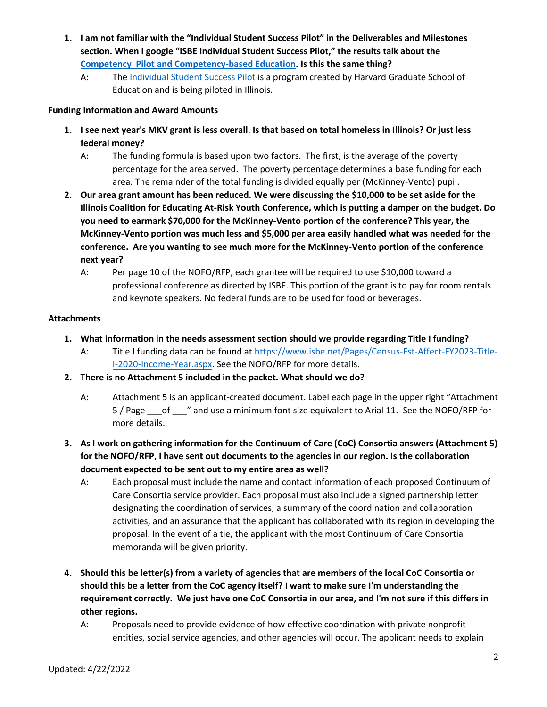- **1. I am not familiar with the "Individual Student Success Pilot" in the Deliverables and Milestones section. When I google "ISBE Individual Student Success Pilot," the results talk about the [Competency Pilot and Competency-based Education.](https://www.isbe.net/Pages/CompetencyPilot.aspx) Is this the same thing?** 
	- A: The [Individual Student Success Pilot](https://edredesign.org/success-planning) is a program created by Harvard Graduate School of Education and is being piloted in Illinois.

# **Funding Information and Award Amounts**

- **1. I see next year's MKV grant is less overall. Is that based on total homeless in Illinois? Or just less federal money?**
	- A: The funding formula is based upon two factors. The first, is the average of the poverty percentage for the area served. The poverty percentage determines a base funding for each area. The remainder of the total funding is divided equally per (McKinney-Vento) pupil.
- **2. Our area grant amount has been reduced. We were discussing the \$10,000 to be set aside for the Illinois Coalition for Educating At-Risk Youth Conference, which is putting a damper on the budget. Do you need to earmark \$70,000 for the McKinney-Vento portion of the conference? This year, the McKinney-Vento portion was much less and \$5,000 per area easily handled what was needed for the conference. Are you wanting to see much more for the McKinney-Vento portion of the conference next year?** 
	- A: Per page 10 of the NOFO/RFP, each grantee will be required to use \$10,000 toward a professional conference as directed by ISBE. This portion of the grant is to pay for room rentals and keynote speakers. No federal funds are to be used for food or beverages.

# **Attachments**

- **1. What information in the needs assessment section should we provide regarding Title I funding?**
	- A: Title I funding data can be found at [https://www.isbe.net/Pages/Census-Est-Affect-FY2023-Title-](https://www.isbe.net/Pages/Census-Est-Affect-FY2023-Title-I-2020-Income-Year.aspx)[I-2020-Income-Year.aspx.](https://www.isbe.net/Pages/Census-Est-Affect-FY2023-Title-I-2020-Income-Year.aspx) See the NOFO/RFP for more details.
- **2. There is no Attachment 5 included in the packet. What should we do?**
	- A: Attachment 5 is an applicant-created document. Label each page in the upper right "Attachment 5 / Page \_\_\_of \_\_\_" and use a minimum font size equivalent to Arial 11. See the NOFO/RFP for more details.
- **3. As I work on gathering information for the Continuum of Care (CoC) Consortia answers (Attachment 5) for the NOFO/RFP, I have sent out documents to the agencies in our region. Is the collaboration document expected to be sent out to my entire area as well?**
	- A: Each proposal must include the name and contact information of each proposed Continuum of Care Consortia service provider. Each proposal must also include a signed partnership letter designating the coordination of services, a summary of the coordination and collaboration activities, and an assurance that the applicant has collaborated with its region in developing the proposal. In the event of a tie, the applicant with the most Continuum of Care Consortia memoranda will be given priority.
- **4. Should this be letter(s) from a variety of agencies that are members of the local CoC Consortia or should this be a letter from the CoC agency itself? I want to make sure I'm understanding the requirement correctly. We just have one CoC Consortia in our area, and I'm not sure if this differs in other regions.**
	- A: Proposals need to provide evidence of how effective coordination with private nonprofit entities, social service agencies, and other agencies will occur. The applicant needs to explain